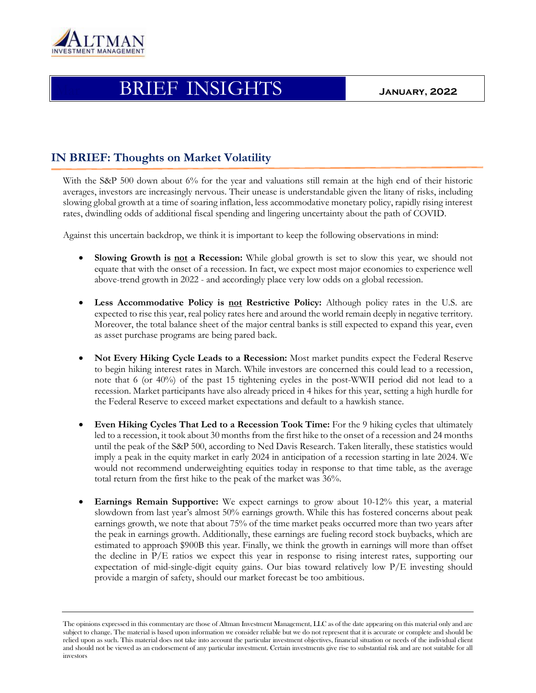

## Mar BRIEF INSIGHTS **January, <sup>2022</sup>**

## **IN BRIEF: Thoughts on Market Volatility**

With the S&P 500 down about 6% for the year and valuations still remain at the high end of their historic averages, investors are increasingly nervous. Their unease is understandable given the litany of risks, including slowing global growth at a time of soaring inflation, less accommodative monetary policy, rapidly rising interest rates, dwindling odds of additional fiscal spending and lingering uncertainty about the path of COVID.

Against this uncertain backdrop, we think it is important to keep the following observations in mind:

- **Slowing Growth is not a Recession:** While global growth is set to slow this year, we should not equate that with the onset of a recession. In fact, we expect most major economies to experience well above-trend growth in 2022 - and accordingly place very low odds on a global recession.
- **Less Accommodative Policy is not Restrictive Policy:** Although policy rates in the U.S. are expected to rise this year, real policy rates here and around the world remain deeply in negative territory. Moreover, the total balance sheet of the major central banks is still expected to expand this year, even as asset purchase programs are being pared back.
- **Not Every Hiking Cycle Leads to a Recession:** Most market pundits expect the Federal Reserve to begin hiking interest rates in March. While investors are concerned this could lead to a recession, note that 6 (or 40%) of the past 15 tightening cycles in the post-WWII period did not lead to a recession. Market participants have also already priced in 4 hikes for this year, setting a high hurdle for the Federal Reserve to exceed market expectations and default to a hawkish stance.
- **Even Hiking Cycles That Led to a Recession Took Time:** For the 9 hiking cycles that ultimately led to a recession, it took about 30 months from the first hike to the onset of a recession and 24 months until the peak of the S&P 500, according to Ned Davis Research. Taken literally, these statistics would imply a peak in the equity market in early 2024 in anticipation of a recession starting in late 2024. We would not recommend underweighting equities today in response to that time table, as the average total return from the first hike to the peak of the market was 36%.
- **Earnings Remain Supportive:** We expect earnings to grow about 10-12% this year, a material slowdown from last year's almost 50% earnings growth. While this has fostered concerns about peak earnings growth, we note that about 75% of the time market peaks occurred more than two years after the peak in earnings growth. Additionally, these earnings are fueling record stock buybacks, which are estimated to approach \$900B this year. Finally, we think the growth in earnings will more than offset the decline in P/E ratios we expect this year in response to rising interest rates, supporting our expectation of mid-single-digit equity gains. Our bias toward relatively low P/E investing should provide a margin of safety, should our market forecast be too ambitious.

The opinions expressed in this commentary are those of Altman Investment Management, LLC as of the date appearing on this material only and are subject to change. The material is based upon information we consider reliable but we do not represent that it is accurate or complete and should be relied upon as such. This material does not take into account the particular investment objectives, financial situation or needs of the individual client and should not be viewed as an endorsement of any particular investment. Certain investments give rise to substantial risk and are not suitable for all investors